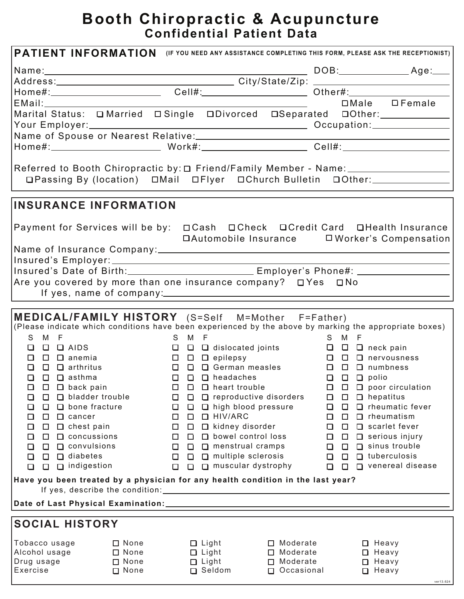# **Booth Chiropractic & Acupuncture Confidential Patient Data**

| PATIENT INFORMATION (IF YOU NEED ANY ASSISTANCE COMPLETING THIS FORM, PLEASE ASK THE RECEPTIONIST)     |                                                   |                                              |                                         |                                      |                                             |  |
|--------------------------------------------------------------------------------------------------------|---------------------------------------------------|----------------------------------------------|-----------------------------------------|--------------------------------------|---------------------------------------------|--|
|                                                                                                        |                                                   |                                              |                                         |                                      |                                             |  |
|                                                                                                        |                                                   |                                              |                                         |                                      |                                             |  |
|                                                                                                        |                                                   |                                              |                                         |                                      |                                             |  |
|                                                                                                        |                                                   |                                              | <u> 1990 - Johann Barbara, martin d</u> |                                      | □Male □ Female                              |  |
| Marital Status: O Married O Single O Divorced O Separated O O ther:                                    |                                                   |                                              |                                         |                                      |                                             |  |
|                                                                                                        |                                                   |                                              |                                         |                                      |                                             |  |
|                                                                                                        |                                                   |                                              |                                         |                                      |                                             |  |
|                                                                                                        |                                                   |                                              |                                         |                                      |                                             |  |
|                                                                                                        |                                                   |                                              |                                         |                                      |                                             |  |
| □Passing By (location) □Mail □Flyer □Church Bulletin □Other:                                           |                                                   |                                              |                                         |                                      |                                             |  |
|                                                                                                        |                                                   |                                              |                                         |                                      |                                             |  |
| <b>INSURANCE INFORMATION</b>                                                                           |                                                   |                                              |                                         |                                      |                                             |  |
| Payment for Services will be by:  □ Cash  □ Check  □ Credit Card  □ Health Insurance                   |                                                   |                                              |                                         |                                      |                                             |  |
|                                                                                                        |                                                   |                                              |                                         |                                      |                                             |  |
|                                                                                                        |                                                   |                                              |                                         |                                      |                                             |  |
|                                                                                                        |                                                   |                                              |                                         |                                      |                                             |  |
| Insured's Date of Birth:__________________________Employer's Phone#: ___________                       |                                                   |                                              |                                         |                                      |                                             |  |
| Are you covered by more than one insurance company? $\Box$ Yes $\Box$ No                               |                                                   |                                              |                                         |                                      |                                             |  |
|                                                                                                        | If yes, name of company: If yes, name of company: |                                              |                                         |                                      |                                             |  |
|                                                                                                        |                                                   |                                              |                                         |                                      |                                             |  |
| MEDICAL/FAMILY HISTORY (S=Self M=Mother F=Father)                                                      |                                                   |                                              |                                         |                                      |                                             |  |
| (Please indicate which conditions have been experienced by the above by marking the appropriate boxes) |                                                   |                                              |                                         |                                      |                                             |  |
| S<br>M F<br>$\Box$ AIDS<br>□<br>$\Box$                                                                 |                                                   | S M F                                        |                                         | S M F                                |                                             |  |
| $\Box$ anemia<br>n.<br>$\Box$                                                                          |                                                   |                                              |                                         |                                      |                                             |  |
| $\Box$ arthritus<br>П<br>$\Box$                                                                        |                                                   |                                              |                                         |                                      |                                             |  |
| $\Box$ $\Box$ asthma                                                                                   |                                                   |                                              |                                         |                                      |                                             |  |
| $\Box$ back pain<br>□<br>$\Box$                                                                        | $\Box$                                            | $\Box$ heart trouble<br>□                    |                                         | □<br>$\Box$                          | $\Box$ poor circulation                     |  |
| $\Box$ bladder trouble<br>□<br>o                                                                       | □                                                 | $\Box$ reproductive disorders<br>$\Box$      |                                         | $\Box$ hepatitus<br>$\Box$<br>$\Box$ |                                             |  |
| $\Box$ bone fracture<br>$\Box$<br>$\Box$                                                               | $\Box$                                            | □ high blood pressure<br>$\Box$<br>□ HIV/ARC |                                         | $\Box$<br>$\Box$                     | $\Box$ rheumatic fever<br>$\Box$ rheumatism |  |
| $\Box$<br>□<br>$\Box$ cancer<br>$\Box$<br>$\Box$ chest pain<br>□                                       | $\Box$<br>$\Box$                                  | $\Box$<br>$\Box$ kidney disorder<br>$\Box$   |                                         | □<br>$\Box$<br>$\Box$<br>$\Box$      | $\Box$ scarlet fever                        |  |
| $\Box$ concussions<br>$\Box$<br>$\Box$                                                                 | $\Box$                                            | $\Box$ bowel control loss<br>$\Box$          |                                         | $\Box$<br>$\Box$                     | $\Box$ serious injury                       |  |
| $\Box$ convulsions<br>$\Box$<br>$\Box$                                                                 | $\Box$                                            | $\Box$ menstrual cramps<br>$\Box$            |                                         | $\Box$<br>$\Box$                     | $\Box$ sinus trouble                        |  |
| $\Box$ diabetes<br>$\Box$<br>$\Box$                                                                    | $\Box$                                            | $\Box$ multiple sclerosis<br>$\Box$          |                                         | $\Box$<br>$\Box$                     | $\Box$ tuberculosis                         |  |
| $\Box$ indigestion<br>$\Box$<br>$\Box$                                                                 | $\Box$                                            | $\Box$ muscular dystrophy<br>$\Box$          |                                         | $\Box$<br>$\Box$                     | $\Box$ venereal disease                     |  |
| Have you been treated by a physician for any health condition in the last year?                        |                                                   |                                              |                                         |                                      |                                             |  |
|                                                                                                        |                                                   |                                              |                                         |                                      |                                             |  |
|                                                                                                        |                                                   |                                              |                                         |                                      |                                             |  |
| <b>SOCIAL HISTORY</b>                                                                                  |                                                   |                                              |                                         |                                      |                                             |  |
| Tobacco usage                                                                                          | $\square$ None                                    | $\Box$ Light                                 | $\Box$ Moderate                         | $\Box$ Heavy                         |                                             |  |
| Alcohol usage                                                                                          | $\Box$ None                                       | $\Box$ Light                                 | $\Box$ Moderate                         | $\Box$ Heavy                         |                                             |  |
| Drug usage<br>Exercise                                                                                 | $\Box$ None<br>$\Box$ None                        | $\Box$ Light<br>$\Box$ Seldom                | $\Box$ Moderate<br>Occasional           | $\Box$ Heavy<br>$\Box$ Heavy         |                                             |  |
|                                                                                                        |                                                   |                                              |                                         |                                      | ver13.624                                   |  |